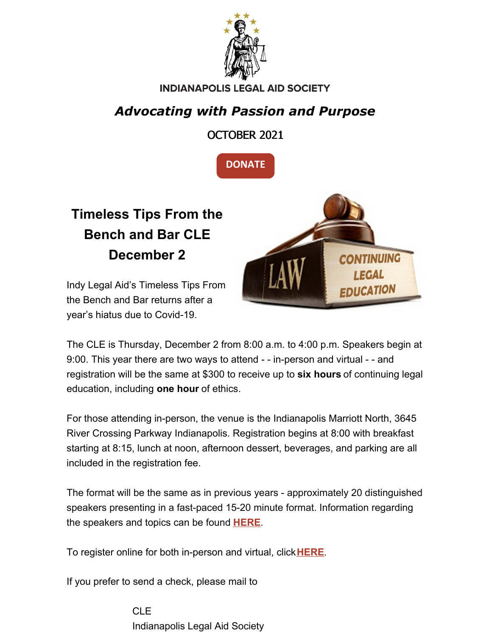

#### **INDIANAPOLIS LEGAL AID SOCIETY**

### *Advocating with Passion and Purpose*

OCTOBER 2021



## **Timeless Tips From the Bench and Bar CLE December 2**

Indy Legal Aid's Timeless Tips From the Bench and Bar returns after a year's hiatus due to Covid-19.



The CLE is Thursday, December 2 from 8:00 a.m. to 4:00 p.m. Speakers begin at 9:00. This year there are two ways to attend - - in-person and virtual - - and registration will be the same at \$300 to receive up to **six hours** of continuing legal education, including **one hour** of ethics.

For those attending in-person, the venue is the Indianapolis Marriott North, 3645 River Crossing Parkway Indianapolis. Registration begins at 8:00 with breakfast starting at 8:15, lunch at noon, afternoon dessert, beverages, and parking are all included in the registration fee.

The format will be the same as in previous years - approximately 20 distinguished speakers presenting in a fast-paced 15-20 minute format. Information regarding the speakers and topics can be found **[HERE](https://www.indylas.org/cle2021)**.

To register online for both in-person and virtual, click**[HERE](https://www.indylas.org/cle-online-registration-form)**.

If you prefer to send a check, please mail to

CLE Indianapolis Legal Aid Society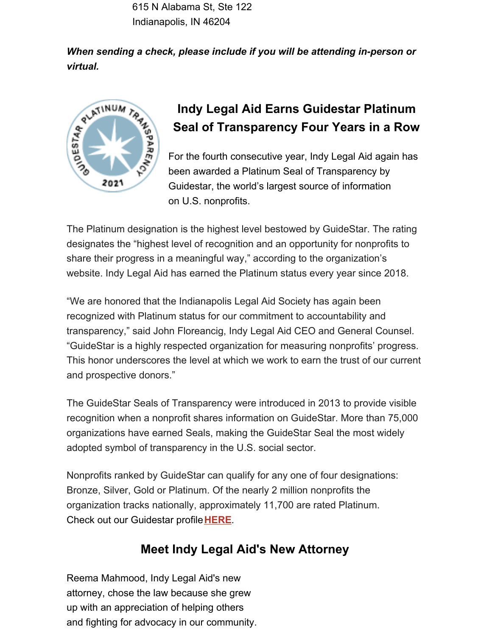615 N Alabama St, Ste 122 Indianapolis, IN 46204

*When sending a check, please include if you will be attending in-person or virtual.*



### **Indy Legal Aid Earns Guidestar Platinum Seal of Transparency Four Years in a Row**

For the fourth consecutive year, Indy Legal Aid again has been awarded a Platinum Seal of Transparency by Guidestar, the world's largest source of information on U.S. nonprofits.

The Platinum designation is the highest level bestowed by GuideStar. The rating designates the "highest level of recognition and an opportunity for nonprofits to share their progress in a meaningful way," according to the organization's website. Indy Legal Aid has earned the Platinum status every year since 2018.

"We are honored that the Indianapolis Legal Aid Society has again been recognized with Platinum status for our commitment to accountability and transparency," said John Floreancig, Indy Legal Aid CEO and General Counsel. "GuideStar is a highly respected organization for measuring nonprofits' progress. This honor underscores the level at which we work to earn the trust of our current and prospective donors."

The GuideStar Seals of Transparency were introduced in 2013 to provide visible recognition when a nonprofit shares information on GuideStar. More than 75,000 organizations have earned Seals, making the GuideStar Seal the most widely adopted symbol of transparency in the U.S. social sector.

Nonprofits ranked by GuideStar can qualify for any one of four designations: Bronze, Silver, Gold or Platinum. Of the nearly 2 million nonprofits the organization tracks nationally, approximately 11,700 are rated Platinum. Check out our Guidestar profile**[HERE](https://www.guidestar.org/profile/35-1045153)**.

#### **Meet Indy Legal Aid's New Attorney**

Reema Mahmood, Indy Legal Aid's new attorney, chose the law because she grew up with an appreciation of helping others and fighting for advocacy in our community.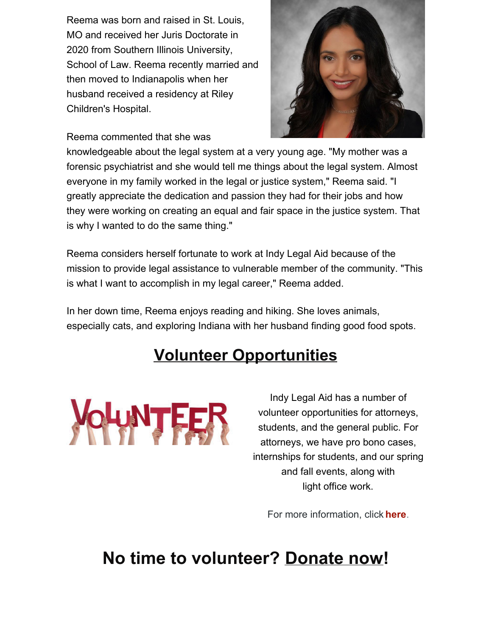Reema was born and raised in St. Louis, MO and received her Juris Doctorate in 2020 from Southern Illinois University, School of Law. Reema recently married and then moved to Indianapolis when her husband received a residency at Riley Children's Hospital.

Reema commented that she was



knowledgeable about the legal system at a very young age. "My mother was a forensic psychiatrist and she would tell me things about the legal system. Almost everyone in my family worked in the legal or justice system," Reema said. "I greatly appreciate the dedication and passion they had for their jobs and how they were working on creating an equal and fair space in the justice system. That is why I wanted to do the same thing."

Reema considers herself fortunate to work at Indy Legal Aid because of the mission to provide legal assistance to vulnerable member of the community. "This is what I want to accomplish in my legal career," Reema added.

In her down time, Reema enjoys reading and hiking. She loves animals, especially cats, and exploring Indiana with her husband finding good food spots.

## **Volunteer Opportunities**



Indy Legal Aid has a number of volunteer opportunities for attorneys, students, and the general public. For attorneys, we have pro bono cases, internships for students, and our spring and fall events, along with light office work.

For more information, click **[here](https://www.indylas.org/volunteering)**[.](https://www.indylas.org/volunteering)

## **No time to volunteer? [Donate](https://interland3.donorperfect.net/weblink/weblink.aspx?name=E5192&id=1) now!**